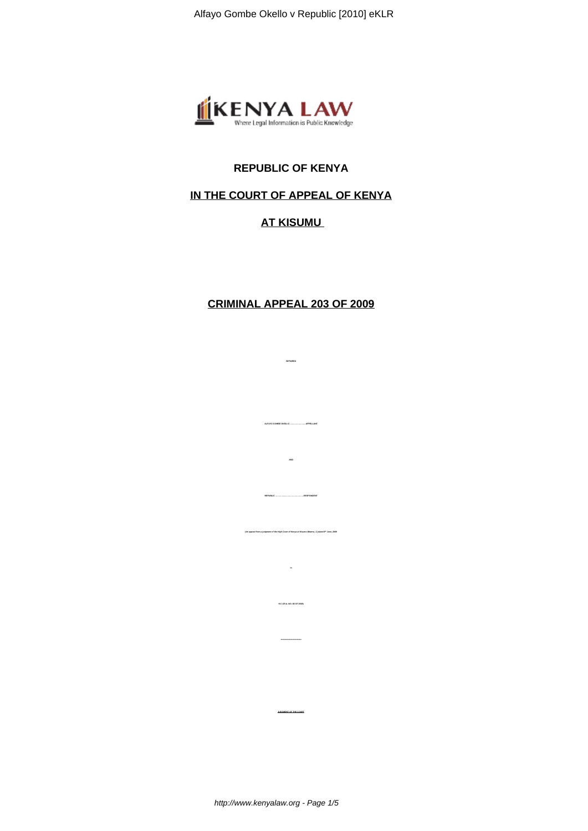

## **REPUBLIC OF KENYA**

## **IN THE COURT OF APPEAL OF KENYA**

## **AT KISUMU**

## **CRIMINAL APPEAL 203 OF 2009**

**BETWEEN**

**ALFAYO GOMBE OKELLO ……………** 

**REPUBLIC …………....……………………….RESPONDENT**

**in**

**H.C.CR.A. NO. 85 OF 2008)**

**JUDGMENT OF THE COURT**

**(An appeal from a judgment of the High Court of Kenya at Kisumu (Mwera, J.) dated 8th June, 2009**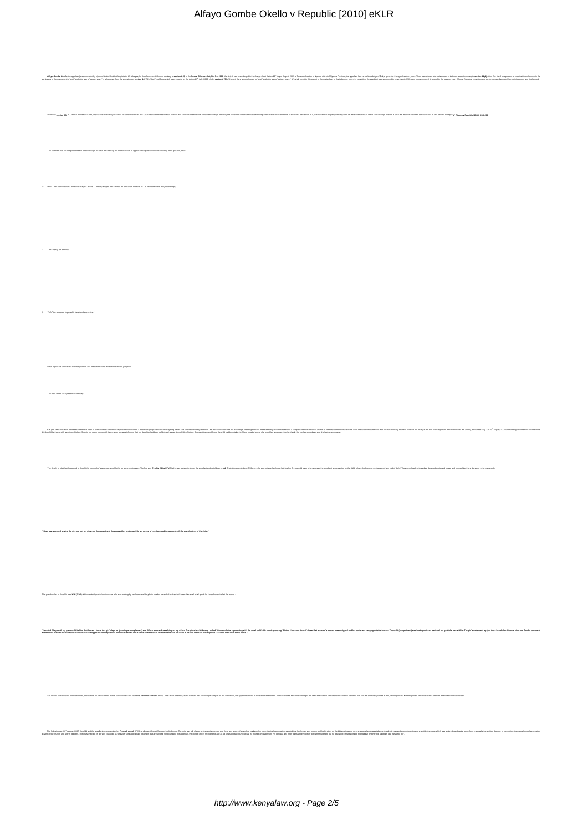| Alfayo Gombe Okello v Republic [2010] eKLR                                                                                                                                                                                                                               |
|--------------------------------------------------------------------------------------------------------------------------------------------------------------------------------------------------------------------------------------------------------------------------|
|                                                                                                                                                                                                                                                                          |
|                                                                                                                                                                                                                                                                          |
|                                                                                                                                                                                                                                                                          |
| alleged in the charge sheet that on 19 <sup>th</sup> day of August, 2007 at Tura sub-location in Nyando dashci of Nyanza Province, the appellant had cannal knowledge of S A, a girl under the age of all<br>I no reference to "a girl unde<br>as Act, No. 3 of 2006 (th |
|                                                                                                                                                                                                                                                                          |
|                                                                                                                                                                                                                                                                          |
| nos at all or on a perversion of it, or if no tribunal properly directing itself on the evidence would make such findings. In such a case the decision would be said to be bad in law. See for example in Elizangu                                                       |
|                                                                                                                                                                                                                                                                          |
|                                                                                                                                                                                                                                                                          |
| has all along appeared in person to urge his case. He drew up the memorandum of appeal which puts forward the following three ge                                                                                                                                         |
|                                                                                                                                                                                                                                                                          |
|                                                                                                                                                                                                                                                                          |
|                                                                                                                                                                                                                                                                          |
|                                                                                                                                                                                                                                                                          |
|                                                                                                                                                                                                                                                                          |
|                                                                                                                                                                                                                                                                          |
|                                                                                                                                                                                                                                                                          |
|                                                                                                                                                                                                                                                                          |
|                                                                                                                                                                                                                                                                          |
|                                                                                                                                                                                                                                                                          |
|                                                                                                                                                                                                                                                                          |
|                                                                                                                                                                                                                                                                          |
|                                                                                                                                                                                                                                                                          |
|                                                                                                                                                                                                                                                                          |
| t to those grounds and the submissions thereon later                                                                                                                                                                                                                     |
|                                                                                                                                                                                                                                                                          |
|                                                                                                                                                                                                                                                                          |
|                                                                                                                                                                                                                                                                          |
|                                                                                                                                                                                                                                                                          |
|                                                                                                                                                                                                                                                                          |
|                                                                                                                                                                                                                                                                          |
| in-law of the appellant and neighbour of MA. That afternoon at about 3.30 p.m., she was outside her house bathing her 3 - year-old baby when she saw the appellant a                                                                                                     |
|                                                                                                                                                                                                                                                                          |
|                                                                                                                                                                                                                                                                          |
|                                                                                                                                                                                                                                                                          |
| "T then saw accused seizing the girl and put her down on the ground and the accused lay on the girl. He lay on top of her. I decided to rush and call the grandmother of the child."                                                                                     |
|                                                                                                                                                                                                                                                                          |
|                                                                                                                                                                                                                                                                          |
|                                                                                                                                                                                                                                                                          |
|                                                                                                                                                                                                                                                                          |
| colver of the child was WO (PNZ). W immediately called another man who was waking by her house and they both headed towards the deserted house. We shall let W speak for heral on arrival at the acener-                                                                 |
|                                                                                                                                                                                                                                                                          |
| Tuodika tuodika tuodika hali hali ya maan ka maanii ya maanii ya maanii ya maanii ya maanii ya maanii ya maanii ya maanii ya maanii ya maanii ya maanii ya maanii ya maanii ya maanii ya maanii ya maanii ya maanii ya maanii                                            |
|                                                                                                                                                                                                                                                                          |
|                                                                                                                                                                                                                                                                          |
|                                                                                                                                                                                                                                                                          |
|                                                                                                                                                                                                                                                                          |
| It is W who took the child home and Islan; at around 6.40 p.m. to Aven Photo States who is local PE. Leewer Kimidde (PW), Her about on hour, as P: Kimidrie was recording W respondent around and the properties who meet that                                           |
|                                                                                                                                                                                                                                                                          |
| http://www.amarchive.com/websites/websites/websites/websites/websites/websites/websites/websites/websites/websites/websites/websites/websites/websites/websites/websites/websites/websites/websites/websites/websites/websites                                           |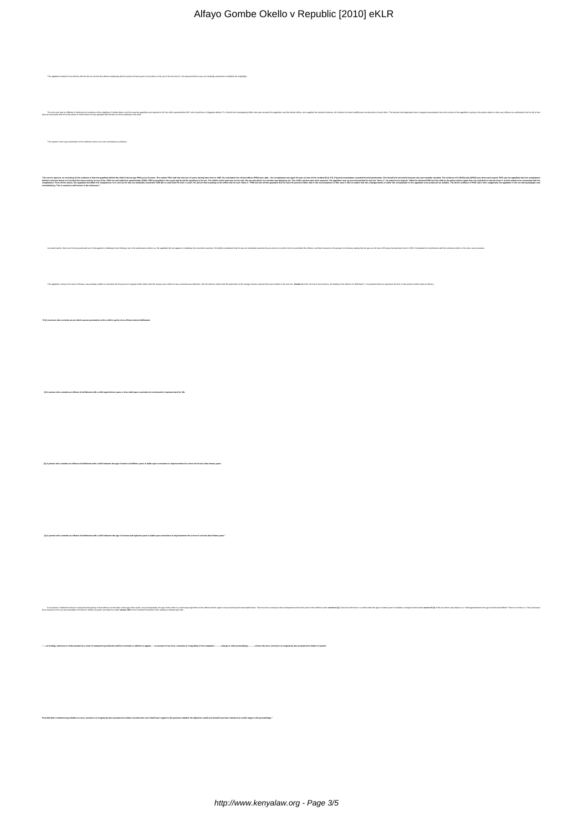| Alfayo Gombe Okello v Republic [2010] eKLR                                                                                                                                                                                                                                                                                                                       |
|------------------------------------------------------------------------------------------------------------------------------------------------------------------------------------------------------------------------------------------------------------------------------------------------------------------------------------------------------------------|
|                                                                                                                                                                                                                                                                                                                                                                  |
|                                                                                                                                                                                                                                                                                                                                                                  |
|                                                                                                                                                                                                                                                                                                                                                                  |
| ining that he would not have gone to the police on his own if he had done it. He asserted that he was not medically ex                                                                                                                                                                                                                                           |
|                                                                                                                                                                                                                                                                                                                                                                  |
| borative of each other. The lea                                                                                                                                                                                                                                                                                                                                  |
| t had no difficulty in believing the evidence of the neighbour Cynthia Akinyi, who first saw the<br>with W at the scene of crime where he also pleaded that he had not done anything to the chi                                                                                                                                                                  |
| upon evaluation of the evidence came to its own conc                                                                                                                                                                                                                                                                                                             |
|                                                                                                                                                                                                                                                                                                                                                                  |
|                                                                                                                                                                                                                                                                                                                                                                  |
| ber was dangling out. The child's private pa<br>sed. The ap<br>us up and claimed that he had not "done it". He asked to be forgiven. When he fol-<br>ed PW2 and the<br>aid that he had not done it. And he asked to be<br>act. The child's under pant was on the side. His zip was down; hi<br>find anything to the effect that he had "done it." PWS did not te |
|                                                                                                                                                                                                                                                                                                                                                                  |
|                                                                                                                                                                                                                                                                                                                                                                  |
|                                                                                                                                                                                                                                                                                                                                                                  |
|                                                                                                                                                                                                                                                                                                                                                                  |
|                                                                                                                                                                                                                                                                                                                                                                  |
|                                                                                                                                                                                                                                                                                                                                                                  |
|                                                                                                                                                                                                                                                                                                                                                                  |
|                                                                                                                                                                                                                                                                                                                                                                  |
|                                                                                                                                                                                                                                                                                                                                                                  |
|                                                                                                                                                                                                                                                                                                                                                                  |
|                                                                                                                                                                                                                                                                                                                                                                  |
|                                                                                                                                                                                                                                                                                                                                                                  |
|                                                                                                                                                                                                                                                                                                                                                                  |
|                                                                                                                                                                                                                                                                                                                                                                  |
|                                                                                                                                                                                                                                                                                                                                                                  |
|                                                                                                                                                                                                                                                                                                                                                                  |
|                                                                                                                                                                                                                                                                                                                                                                  |
|                                                                                                                                                                                                                                                                                                                                                                  |
| (3) A person who commits an offence of defilement with a child between the age of twelve and fifteen years is liable upon conviction to imprisonment for a term of not less than twenty years.                                                                                                                                                                   |
|                                                                                                                                                                                                                                                                                                                                                                  |
|                                                                                                                                                                                                                                                                                                                                                                  |
|                                                                                                                                                                                                                                                                                                                                                                  |
| (4) A person who commits an offence of defilement with a child between the age of sixteen and eighteen years is liable upon conviction to imprisonment for a term of not less than fifteen years."                                                                                                                                                               |
|                                                                                                                                                                                                                                                                                                                                                                  |
|                                                                                                                                                                                                                                                                                                                                                                  |
|                                                                                                                                                                                                                                                                                                                                                                  |
|                                                                                                                                                                                                                                                                                                                                                                  |
| b under the second and the second that the second in the second in the second interview of the second and the second and the second and the second and the second and the second and the second and second and second and seco                                                                                                                                   |
|                                                                                                                                                                                                                                                                                                                                                                  |
|                                                                                                                                                                                                                                                                                                                                                                  |
|                                                                                                                                                                                                                                                                                                                                                                  |
|                                                                                                                                                                                                                                                                                                                                                                  |
|                                                                                                                                                                                                                                                                                                                                                                  |
|                                                                                                                                                                                                                                                                                                                                                                  |
|                                                                                                                                                                                                                                                                                                                                                                  |
| darity has occasioned a fallure of justice the court shall have regard to the question whether the objection could and should have been raised at an earlier stage in the proc                                                                                                                                                                                   |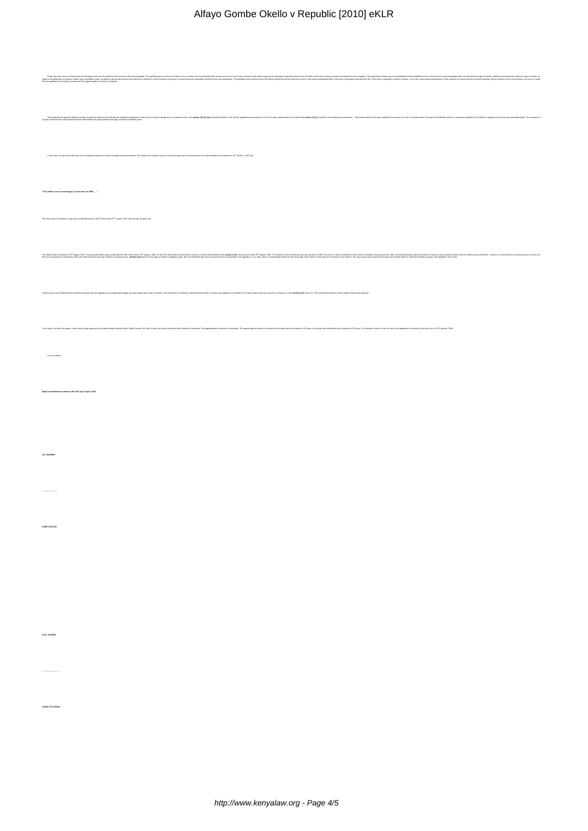| ht, h bas watchs for he had the heling and the heling in the basic that had paid paid in the basic in the basic had the basic had the basic main in the basic had the basic of the state of the basic in the state of the basi           |
|------------------------------------------------------------------------------------------------------------------------------------------------------------------------------------------------------------------------------------------|
|                                                                                                                                                                                                                                          |
| The subject parameterial and state of the substitution in the substitution in the substitution of the substitution of the substitution in the substitution in the substitution in the substitution in the substitution in the            |
|                                                                                                                                                                                                                                          |
|                                                                                                                                                                                                                                          |
| In this case, the age of the child was never medically assessed or proved through any documentation. The nearest the evidence came to proving the age was the statement by her mother Milwhen she testilled on 16 <sup>th</sup> October, |
|                                                                                                                                                                                                                                          |
| "This child in court is mine aged 14 years born in 1992"                                                                                                                                                                                 |
| The other piece of evidence on age was an estimate made in the P3 form dated 20 <sup>th</sup> August, 2007 that she was 15 years old.                                                                                                    |
|                                                                                                                                                                                                                                          |
| he monder it and it is a start that the monder in the start of the start of the start of the start of the start of the start of the start of the start of the start of the start of the start of the start of the start of the           |
|                                                                                                                                                                                                                                          |
| If follows upon such finding that the sentence imposed upon beappelsed had questionable legally and thus entitles this Court to interfers. The purishment the delling a child between the age of sixteen and eighteen is a min           |
|                                                                                                                                                                                                                                          |
| in the result, we allow this appeal, which was strongly operating the state forces factor Claim Counce (Sate Counse). Ms. Mary Counts, that county this assemble as a strong appeal considers in a strong and a secure in a st           |
|                                                                                                                                                                                                                                          |
| It is no ordered.                                                                                                                                                                                                                        |
|                                                                                                                                                                                                                                          |
| Dated and delivered at Kisumu this 30 <sup>th</sup> day of April, 2010.                                                                                                                                                                  |
|                                                                                                                                                                                                                                          |
|                                                                                                                                                                                                                                          |
| J.E. GIOVERU                                                                                                                                                                                                                             |
|                                                                                                                                                                                                                                          |
|                                                                                                                                                                                                                                          |
|                                                                                                                                                                                                                                          |
| outrustics                                                                                                                                                                                                                               |
|                                                                                                                                                                                                                                          |
|                                                                                                                                                                                                                                          |
|                                                                                                                                                                                                                                          |
|                                                                                                                                                                                                                                          |
|                                                                                                                                                                                                                                          |
| $$.0.0.05$ RE                                                                                                                                                                                                                            |
|                                                                                                                                                                                                                                          |
|                                                                                                                                                                                                                                          |
|                                                                                                                                                                                                                                          |
| <b>JUDGE OF APPEAL</b>                                                                                                                                                                                                                   |
|                                                                                                                                                                                                                                          |
|                                                                                                                                                                                                                                          |
|                                                                                                                                                                                                                                          |

Alfayo Gombe Okello v Republic [2010] eKLR